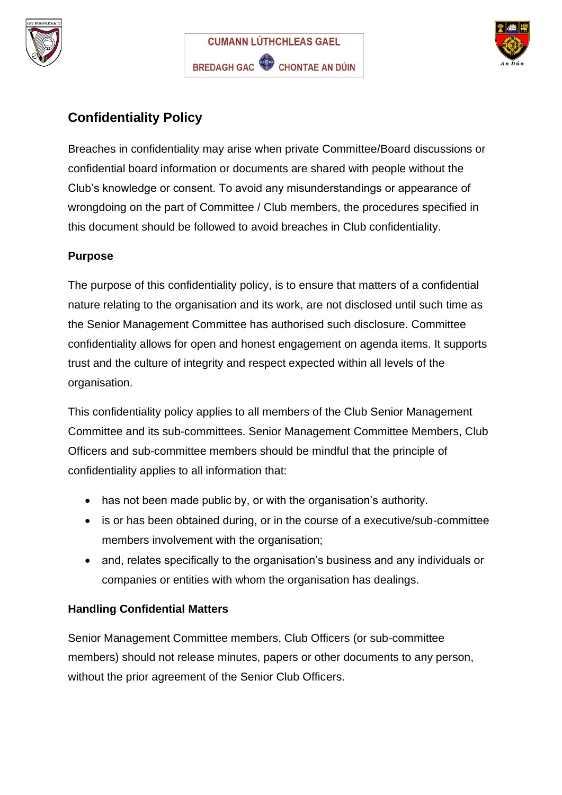





## **Confidentiality Policy**

Breaches in confidentiality may arise when private Committee/Board discussions or confidential board information or documents are shared with people without the Club's knowledge or consent. To avoid any misunderstandings or appearance of wrongdoing on the part of Committee / Club members, the procedures specified in this document should be followed to avoid breaches in Club confidentiality.

## **Purpose**

The purpose of this confidentiality policy, is to ensure that matters of a confidential nature relating to the organisation and its work, are not disclosed until such time as the Senior Management Committee has authorised such disclosure. Committee confidentiality allows for open and honest engagement on agenda items. It supports trust and the culture of integrity and respect expected within all levels of the organisation.

This confidentiality policy applies to all members of the Club Senior Management Committee and its sub-committees. Senior Management Committee Members, Club Officers and sub-committee members should be mindful that the principle of confidentiality applies to all information that:

- has not been made public by, or with the organisation's authority.
- is or has been obtained during, or in the course of a executive/sub-committee members involvement with the organisation;
- and, relates specifically to the organisation's business and any individuals or companies or entities with whom the organisation has dealings.

## **Handling Confidential Matters**

Senior Management Committee members, Club Officers (or sub-committee members) should not release minutes, papers or other documents to any person, without the prior agreement of the Senior Club Officers.